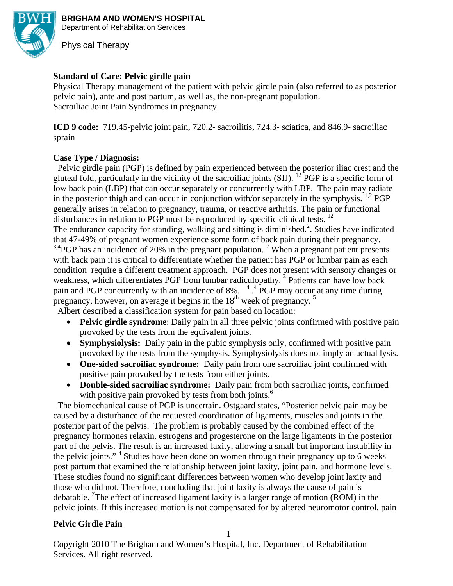

**BRIGHAM AND WOMEN'S HOSPITAL**  Department of Rehabilitation Services

Physical Therapy

# **Standard of Care: Pelvic girdle pain**

Physical Therapy management of the patient with pelvic girdle pain (also referred to as posterior pelvic pain), ante and post partum, as well as, the non-pregnant population. Sacroiliac Joint Pain Syndromes in pregnancy.

**ICD 9 code:** 719.45-pelvic joint pain, 720.2- sacroilitis, 724.3- sciatica, and 846.9- sacroiliac sprain

## **Case Type / Diagnosis:**

Pelvic girdle pain (PGP) is defined by pain experienced between the posterior iliac crest and the gluteal fold, particularly in the vicinity of the sacroiliac joints (SIJ). 12 PGP is a specific form of low back pain (LBP) that can occur separately or concurrently with LBP. The pain may radiate in the posterior thigh and can occur in conjunction with/or separately in the symphysis.  $^{1,2}$  PGP generally arises in relation to pregnancy, trauma, or reactive arthritis. The pain or functional disturbances in relation to PGP must be reproduced by specific clinical tests. <sup>12</sup> The endurance capacity for standing, walking and sitting is diminished.<sup>2</sup>. Studies have indicated that 47-49% of pregnant women experience some form of back pain during their pregnancy.

 $3,4$ PGP has an incidence of 20% in the pregnant population.<sup>2</sup> When a pregnant patient presents with back pain it is critical to differentiate whether the patient has PGP or lumbar pain as each condition require a different treatment approach. PGP does not present with sensory changes or weakness, which differentiates PGP from lumbar radiculopathy.<sup>4</sup> Patients can have low back pain and PGP concurrently with an incidence of 8%.  $4.4$  PGP may occur at any time during pregnancy, however, on average it begins in the  $18<sup>th</sup>$  week of pregnancy.  $5$ 

Albert described a classification system for pain based on location:

- **Pelvic girdle syndrome**: Daily pain in all three pelvic joints confirmed with positive pain provoked by the tests from the equivalent joints.
- **Symphysiolysis:** Daily pain in the pubic symphysis only, confirmed with positive pain provoked by the tests from the symphysis. Symphysiolysis does not imply an actual lysis.
- **One-sided sacroiliac syndrome:** Daily pain from one sacroiliac joint confirmed with positive pain provoked by the tests from either joints.
- **Double-sided sacroiliac syndrome:** Daily pain from both sacroiliac joints, confirmed with positive pain provoked by tests from both joints.<sup>6</sup>

 The biomechanical cause of PGP is uncertain. Ostgaard states, "Posterior pelvic pain may be caused by a disturbance of the requested coordination of ligaments, muscles and joints in the posterior part of the pelvis. The problem is probably caused by the combined effect of the pregnancy hormones relaxin, estrogens and progesterone on the large ligaments in the posterior part of the pelvis. The result is an increased laxity, allowing a small but important instability in the pelvic joints."<sup>4</sup> Studies have been done on women through their pregnancy up to 6 weeks post partum that examined the relationship between joint laxity, joint pain, and hormone levels. These studies found no significant differences between women who develop joint laxity and those who did not. Therefore, concluding that joint laxity is always the cause of pain is debatable. <sup>7</sup>The effect of increased ligament laxity is a larger range of motion (ROM) in the pelvic joints. If this increased motion is not compensated for by altered neuromotor control, pain

## **Pelvic Girdle Pain**

1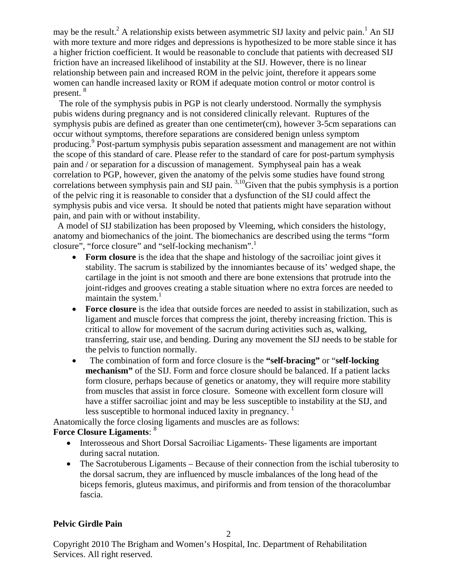may be the result.<sup>2</sup> A relationship exists between asymmetric SIJ laxity and pelvic pain.<sup>1</sup> An SIJ with more texture and more ridges and depressions is hypothesized to be more stable since it has a higher friction coefficient. It would be reasonable to conclude that patients with decreased SIJ friction have an increased likelihood of instability at the SIJ. However, there is no linear relationship between pain and increased ROM in the pelvic joint, therefore it appears some women can handle increased laxity or ROM if adequate motion control or motor control is present.<sup>8</sup>

 The role of the symphysis pubis in PGP is not clearly understood. Normally the symphysis pubis widens during pregnancy and is not considered clinically relevant. Ruptures of the symphysis pubis are defined as greater than one centimeter(cm), however 3-5cm separations can occur without symptoms, therefore separations are considered benign unless symptom producing.<sup>9</sup> Post-partum symphysis pubis separation assessment and management are not within the scope of this standard of care. Please refer to the standard of care for post-partum symphysis pain and / or separation for a discussion of management. Symphyseal pain has a weak correlation to PGP, however, given the anatomy of the pelvis some studies have found strong correlations between symphysis pain and SIJ pain. <sup>3,10</sup>Given that the pubis symphysis is a portion of the pelvic ring it is reasonable to consider that a dysfunction of the SIJ could affect the symphysis pubis and vice versa. It should be noted that patients might have separation without pain, and pain with or without instability.

 A model of SIJ stabilization has been proposed by Vleeming, which considers the histology, anatomy and biomechanics of the joint. The biomechanics are described using the terms "form closure", "force closure" and "self-locking mechanism".<sup>1</sup>

- **Form closure** is the idea that the shape and histology of the sacroiliac joint gives it stability. The sacrum is stabilized by the innomiantes because of its' wedged shape, the cartilage in the joint is not smooth and there are bone extensions that protrude into the joint-ridges and grooves creating a stable situation where no extra forces are needed to maintain the system. $<sup>1</sup>$ </sup>
- **Force closure** is the idea that outside forces are needed to assist in stabilization, such as ligament and muscle forces that compress the joint, thereby increasing friction. This is critical to allow for movement of the sacrum during activities such as, walking, transferring, stair use, and bending. During any movement the SIJ needs to be stable for the pelvis to function normally.
- The combination of form and force closure is the **"self-bracing"** or "**self-locking mechanism**" of the SIJ. Form and force closure should be balanced. If a patient lacks form closure, perhaps because of genetics or anatomy, they will require more stability from muscles that assist in force closure. Someone with excellent form closure will have a stiffer sacroiliac joint and may be less susceptible to instability at the SIJ, and less susceptible to hormonal induced laxity in pregnancy.  $\frac{1}{1}$

Anatomically the force closing ligaments and muscles are as follows:

# **Force Closure Ligaments**: 8

- Interosseous and Short Dorsal Sacroiliac Ligaments- These ligaments are important during sacral nutation.
- The Sacrotuberous Ligaments Because of their connection from the ischial tuberosity to the dorsal sacrum, they are influenced by muscle imbalances of the long head of the biceps femoris, gluteus maximus, and piriformis and from tension of the thoracolumbar fascia.

# **Pelvic Girdle Pain**

 $\mathcal{D}$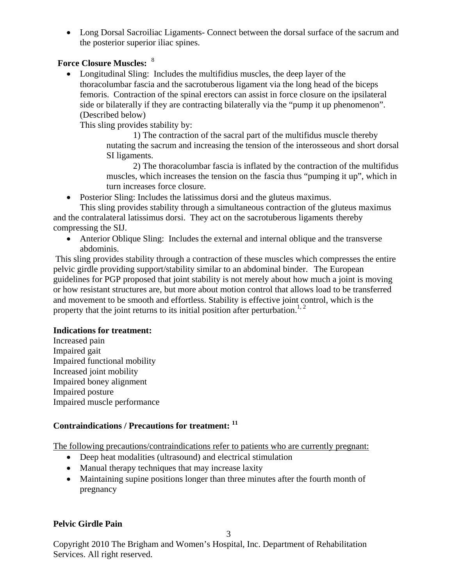• Long Dorsal Sacroiliac Ligaments- Connect between the dorsal surface of the sacrum and the posterior superior iliac spines.

## **Force Closure Muscles:** <sup>8</sup>

• Longitudinal Sling: Includes the multifidius muscles, the deep layer of the thoracolumbar fascia and the sacrotuberous ligament via the long head of the biceps femoris. Contraction of the spinal erectors can assist in force closure on the ipsilateral side or bilaterally if they are contracting bilaterally via the "pump it up phenomenon". (Described below)

This sling provides stability by:

 1) The contraction of the sacral part of the multifidus muscle thereby nutating the sacrum and increasing the tension of the interosseous and short dorsal SI ligaments.

2) The thoracolumbar fascia is inflated by the contraction of the multifidus muscles, which increases the tension on the fascia thus "pumping it up", which in turn increases force closure.

• Posterior Sling: Includes the latissimus dorsi and the gluteus maximus.

This sling provides stability through a simultaneous contraction of the gluteus maximus and the contralateral latissimus dorsi. They act on the sacrotuberous ligaments thereby compressing the SIJ.

• Anterior Oblique Sling: Includes the external and internal oblique and the transverse abdominis.

 This sling provides stability through a contraction of these muscles which compresses the entire pelvic girdle providing support/stability similar to an abdominal binder. The European guidelines for PGP proposed that joint stability is not merely about how much a joint is moving or how resistant structures are, but more about motion control that allows load to be transferred and movement to be smooth and effortless. Stability is effective joint control, which is the property that the joint returns to its initial position after perturbation.<sup>1, 2</sup>

## **Indications for treatment:**

Increased pain Impaired gait Impaired functional mobility Increased joint mobility Impaired boney alignment Impaired posture Impaired muscle performance

# **Contraindications / Precautions for treatment: 11**

The following precautions/contraindications refer to patients who are currently pregnant:

- Deep heat modalities (ultrasound) and electrical stimulation
- Manual therapy techniques that may increase laxity
- Maintaining supine positions longer than three minutes after the fourth month of pregnancy

# **Pelvic Girdle Pain**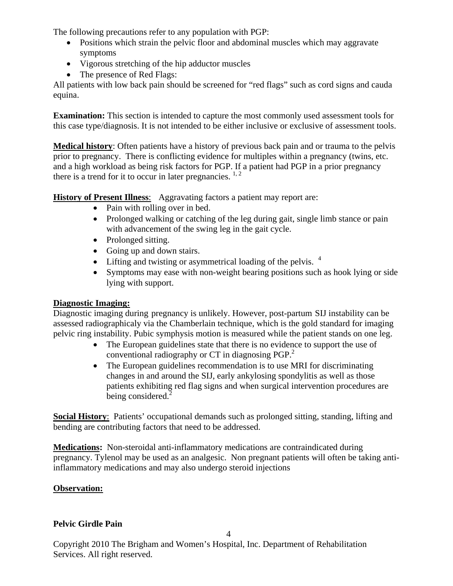The following precautions refer to any population with PGP:

- Positions which strain the pelvic floor and abdominal muscles which may aggravate symptoms
- Vigorous stretching of the hip adductor muscles
- The presence of Red Flags:

All patients with low back pain should be screened for "red flags" such as cord signs and cauda equina.

**Examination:** This section is intended to capture the most commonly used assessment tools for this case type/diagnosis. It is not intended to be either inclusive or exclusive of assessment tools.

**Medical history**: Often patients have a history of previous back pain and or trauma to the pelvis prior to pregnancy. There is conflicting evidence for multiples within a pregnancy (twins, etc. and a high workload as being risk factors for PGP. If a patient had PGP in a prior pregnancy there is a trend for it to occur in later pregnancies.  $1, 2$ 

**History of Present Illness**: Aggravating factors a patient may report are:

- Pain with rolling over in bed.
- Prolonged walking or catching of the leg during gait, single limb stance or pain with advancement of the swing leg in the gait cycle.
- Prolonged sitting.
- Going up and down stairs.
- Lifting and twisting or asymmetrical loading of the pelvis.  $4$
- Symptoms may ease with non-weight bearing positions such as hook lying or side lying with support.

# **Diagnostic Imaging:**

Diagnostic imaging during pregnancy is unlikely. However, post-partum SIJ instability can be assessed radiographicaly via the Chamberlain technique, which is the gold standard for imaging pelvic ring instability. Pubic symphysis motion is measured while the patient stands on one leg.

- The European guidelines state that there is no evidence to support the use of conventional radiography or  $CT$  in diagnosing  $PGP<sup>2</sup>$ .
- The European guidelines recommendation is to use MRI for discriminating changes in and around the SIJ, early ankylosing spondylitis as well as those patients exhibiting red flag signs and when surgical intervention procedures are being considered. $2$

**Social History**: Patients' occupational demands such as prolonged sitting, standing, lifting and bending are contributing factors that need to be addressed.

**Medications:** Non-steroidal anti-inflammatory medications are contraindicated during pregnancy. Tylenol may be used as an analgesic. Non pregnant patients will often be taking antiinflammatory medications and may also undergo steroid injections

# **Observation:**

# **Pelvic Girdle Pain**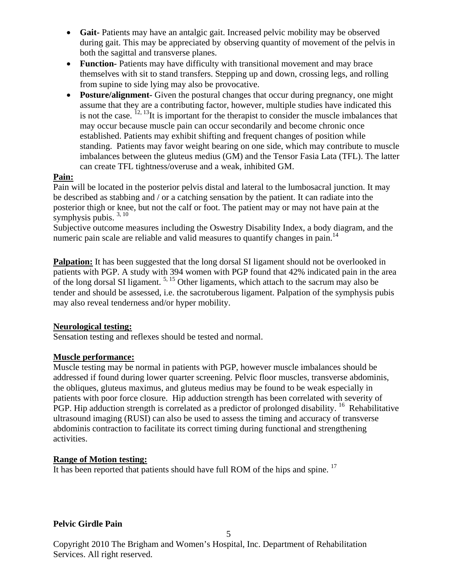- **Gait-** Patients may have an antalgic gait. Increased pelvic mobility may be observed during gait. This may be appreciated by observing quantity of movement of the pelvis in both the sagittal and transverse planes.
- **Function-** Patients may have difficulty with transitional movement and may brace themselves with sit to stand transfers. Stepping up and down, crossing legs, and rolling from supine to side lying may also be provocative.
- **Posture/alignment-** Given the postural changes that occur during pregnancy, one might assume that they are a contributing factor, however, multiple studies have indicated this is not the case.  $^{12, 13}$ It is important for the therapist to consider the muscle imbalances that may occur because muscle pain can occur secondarily and become chronic once established. Patients may exhibit shifting and frequent changes of position while standing. Patients may favor weight bearing on one side, which may contribute to muscle imbalances between the gluteus medius (GM) and the Tensor Fasia Lata (TFL). The latter can create TFL tightness/overuse and a weak, inhibited GM.

## **Pain:**

Pain will be located in the posterior pelvis distal and lateral to the lumbosacral junction. It may be described as stabbing and / or a catching sensation by the patient. It can radiate into the posterior thigh or knee, but not the calf or foot. The patient may or may not have pain at the symphysis pubis.  $3, 10$ 

Subjective outcome measures including the Oswestry Disability Index, a body diagram, and the numeric pain scale are reliable and valid measures to quantify changes in pain.<sup>14</sup>

**Palpation:** It has been suggested that the long dorsal SI ligament should not be overlooked in patients with PGP. A study with 394 women with PGP found that 42% indicated pain in the area of the long dorsal SI ligament.<sup>5, 15</sup> Other ligaments, which attach to the sacrum may also be tender and should be assessed, i.e. the sacrotuberous ligament. Palpation of the symphysis pubis may also reveal tenderness and/or hyper mobility.

## **Neurological testing:**

Sensation testing and reflexes should be tested and normal.

# **Muscle performance:**

Muscle testing may be normal in patients with PGP, however muscle imbalances should be addressed if found during lower quarter screening. Pelvic floor muscles, transverse abdominis, the obliques, gluteus maximus, and gluteus medius may be found to be weak especially in patients with poor force closure. Hip adduction strength has been correlated with severity of PGP. Hip adduction strength is correlated as a predictor of prolonged disability. <sup>16</sup> Rehabilitative ultrasound imaging (RUSI) can also be used to assess the timing and accuracy of transverse abdominis contraction to facilitate its correct timing during functional and strengthening activities.

# **Range of Motion testing:**

It has been reported that patients should have full ROM of the hips and spine.<sup>17</sup>

# **Pelvic Girdle Pain**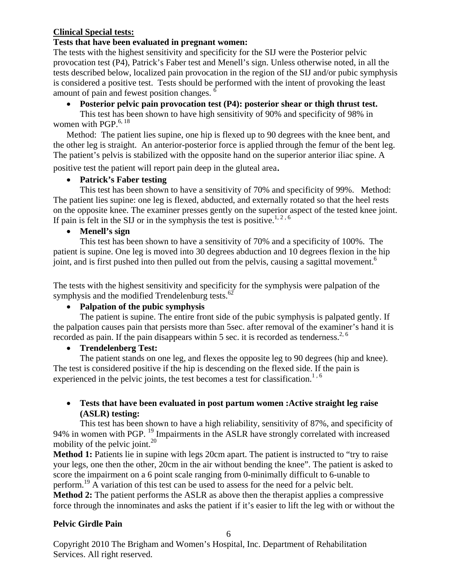## **Clinical Special tests:**

## **Tests that have been evaluated in pregnant women:**

The tests with the highest sensitivity and specificity for the SIJ were the Posterior pelvic provocation test (P4), Patrick's Faber test and Menell's sign. Unless otherwise noted, in all the tests described below, localized pain provocation in the region of the SIJ and/or pubic symphysis is considered a positive test. Tests should be performed with the intent of provoking the least amount of pain and fewest position changes. 6

# • **Posterior pelvic pain provocation test (P4): posterior shear or thigh thrust test.**

This test has been shown to have high sensitivity of 90% and specificity of 98% in women with  $PGP<sup>6, 18</sup>$ 

Method: The patient lies supine, one hip is flexed up to 90 degrees with the knee bent, and the other leg is straight. An anterior-posterior force is applied through the femur of the bent leg. The patient's pelvis is stabilized with the opposite hand on the superior anterior iliac spine. A

positive test the patient will report pain deep in the gluteal area.

# • **Patrick's Faber testing**

This test has been shown to have a sensitivity of 70% and specificity of 99%. Method: The patient lies supine: one leg is flexed, abducted, and externally rotated so that the heel rests on the opposite knee. The examiner presses gently on the superior aspect of the tested knee joint. If pain is felt in the SIJ or in the symphysis the test is positive.<sup>1, 2, 6</sup>

# • **Menell's sign**

This test has been shown to have a sensitivity of 70% and a specificity of 100%. The patient is supine. One leg is moved into 30 degrees abduction and 10 degrees flexion in the hip joint, and is first pushed into then pulled out from the pelvis, causing a sagittal movement.<sup>6</sup>

The tests with the highest sensitivity and specificity for the symphysis were palpation of the symphysis and the modified Trendelenburg tests.<sup>62</sup>

# • **Palpation of the pubic symphysis**

The patient is supine. The entire front side of the pubic symphysis is palpated gently. If the palpation causes pain that persists more than 5sec. after removal of the examiner's hand it is recorded as pain. If the pain disappears within 5 sec. it is recorded as tenderness.<sup>2, 6</sup>

# • **Trendelenberg Test:**

The patient stands on one leg, and flexes the opposite leg to 90 degrees (hip and knee). The test is considered positive if the hip is descending on the flexed side. If the pain is experienced in the pelvic joints, the test becomes a test for classification.<sup>1, 6</sup>

## • **Tests that have been evaluated in post partum women :Active straight leg raise (ASLR) testing:**

This test has been shown to have a high reliability, sensitivity of 87%, and specificity of 94% in women with PGP. 19 Impairments in the ASLR have strongly correlated with increased mobility of the pelvic joint. $^{20}$ 

**Method 1:** Patients lie in supine with legs 20cm apart. The patient is instructed to "try to raise" your legs, one then the other, 20cm in the air without bending the knee". The patient is asked to score the impairment on a 6 point scale ranging from 0-minimally difficult to 6-unable to perform.<sup>19</sup> A variation of this test can be used to assess for the need for a pelvic belt.

**Method 2:** The patient performs the ASLR as above then the therapist applies a compressive force through the innominates and asks the patient if it's easier to lift the leg with or without the

# **Pelvic Girdle Pain**

6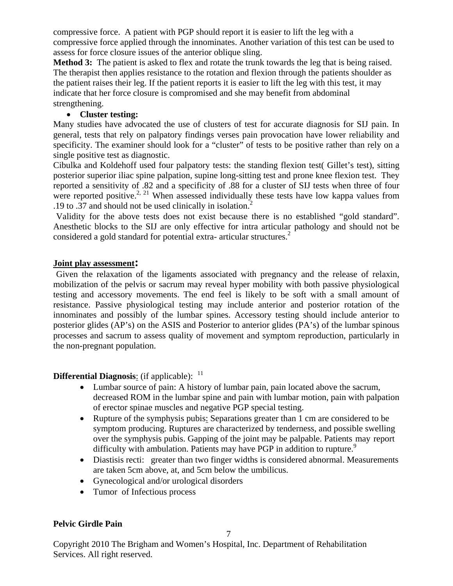compressive force. A patient with PGP should report it is easier to lift the leg with a compressive force applied through the innominates. Another variation of this test can be used to assess for force closure issues of the anterior oblique sling.

**Method 3:** The patient is asked to flex and rotate the trunk towards the leg that is being raised. The therapist then applies resistance to the rotation and flexion through the patients shoulder as the patient raises their leg. If the patient reports it is easier to lift the leg with this test, it may indicate that her force closure is compromised and she may benefit from abdominal strengthening.

## • **Cluster testing:**

Many studies have advocated the use of clusters of test for accurate diagnosis for SIJ pain. In general, tests that rely on palpatory findings verses pain provocation have lower reliability and specificity. The examiner should look for a "cluster" of tests to be positive rather than rely on a single positive test as diagnostic.

Cibulka and Koldehoff used four palpatory tests: the standing flexion test( Gillet's test), sitting posterior superior iliac spine palpation, supine long-sitting test and prone knee flexion test. They reported a sensitivity of .82 and a specificity of .88 for a cluster of SIJ tests when three of four were reported positive.<sup>2, 21</sup> When assessed individually these tests have low kappa values from .19 to .37 and should not be used clinically in isolation.<sup>2</sup>

Validity for the above tests does not exist because there is no established "gold standard". Anesthetic blocks to the SIJ are only effective for intra articular pathology and should not be considered a gold standard for potential extra- articular structures.<sup>2</sup>

## **Joint play assessment:**

Given the relaxation of the ligaments associated with pregnancy and the release of relaxin, mobilization of the pelvis or sacrum may reveal hyper mobility with both passive physiological testing and accessory movements. The end feel is likely to be soft with a small amount of resistance. Passive physiological testing may include anterior and posterior rotation of the innominates and possibly of the lumbar spines. Accessory testing should include anterior to posterior glides (AP's) on the ASIS and Posterior to anterior glides (PA's) of the lumbar spinous processes and sacrum to assess quality of movement and symptom reproduction, particularly in the non-pregnant population.

## **Differential Diagnosis:** (if applicable): <sup>11</sup>

- Lumbar source of pain: A history of lumbar pain, pain located above the sacrum, decreased ROM in the lumbar spine and pain with lumbar motion, pain with palpation of erector spinae muscles and negative PGP special testing.
- Rupture of the symphysis pubis: Separations greater than 1 cm are considered to be symptom producing. Ruptures are characterized by tenderness, and possible swelling over the symphysis pubis. Gapping of the joint may be palpable. Patients may report difficulty with ambulation. Patients may have PGP in addition to rupture.<sup>9</sup>
- Diastisis recti: greater than two finger widths is considered abnormal. Measurements are taken 5cm above, at, and 5cm below the umbilicus.
- Gynecological and/or urological disorders
- Tumor of Infectious process

# **Pelvic Girdle Pain**

7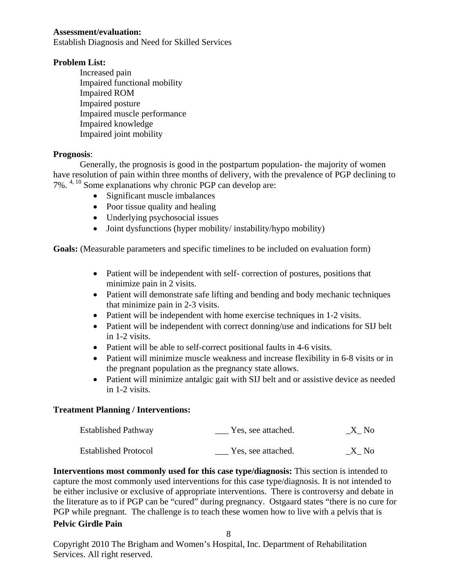#### **Assessment/evaluation:**

Establish Diagnosis and Need for Skilled Services

#### **Problem List:**

Increased pain Impaired functional mobility Impaired ROM Impaired posture Impaired muscle performance Impaired knowledge Impaired joint mobility

#### **Prognosis**:

Generally, the prognosis is good in the postpartum population- the majority of women have resolution of pain within three months of delivery, with the prevalence of PGP declining to 7%. 4, 10 Some explanations why chronic PGP can develop are:

- Significant muscle imbalances
- Poor tissue quality and healing
- Underlying psychosocial issues
- Joint dysfunctions (hyper mobility/ instability/hypo mobility)

**Goals:** (Measurable parameters and specific timelines to be included on evaluation form)

- Patient will be independent with self- correction of postures, positions that minimize pain in 2 visits.
- Patient will demonstrate safe lifting and bending and body mechanic techniques that minimize pain in 2-3 visits.
- Patient will be independent with home exercise techniques in 1-2 visits.
- Patient will be independent with correct donning/use and indications for SIJ belt in 1-2 visits.
- Patient will be able to self-correct positional faults in 4-6 visits.
- Patient will minimize muscle weakness and increase flexibility in 6-8 visits or in the pregnant population as the pregnancy state allows.
- Patient will minimize antalgic gait with SIJ belt and or assistive device as needed in 1-2 visits.

#### **Treatment Planning / Interventions:**

| <b>Established Pathway</b>  | Yes, see attached. | X No |
|-----------------------------|--------------------|------|
| <b>Established Protocol</b> | Yes, see attached. | X No |

**Pelvic Girdle Pain Interventions most commonly used for this case type/diagnosis:** This section is intended to capture the most commonly used interventions for this case type/diagnosis. It is not intended to be either inclusive or exclusive of appropriate interventions. There is controversy and debate in the literature as to if PGP can be "cured" during pregnancy. Ostgaard states "there is no cure for PGP while pregnant. The challenge is to teach these women how to live with a pelvis that is

8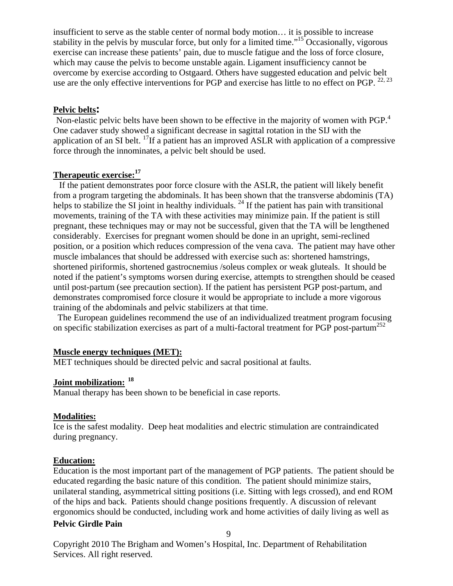insufficient to serve as the stable center of normal body motion… it is possible to increase stability in the pelvis by muscular force, but only for a limited time."15 Occasionally, vigorous exercise can increase these patients' pain, due to muscle fatigue and the loss of force closure, which may cause the pelvis to become unstable again. Ligament insufficiency cannot be overcome by exercise according to Ostgaard. Others have suggested education and pelvic belt use are the only effective interventions for PGP and exercise has little to no effect on PGP. <sup>22, 23</sup>

## **Pelvic belts:**

Non-elastic pelvic belts have been shown to be effective in the majority of women with PGP.<sup>4</sup> One cadaver study showed a significant decrease in sagittal rotation in the SIJ with the application of an SI belt. 17If a patient has an improved ASLR with application of a compressive force through the innominates, a pelvic belt should be used.

## **Therapeutic exercise:17**

 If the patient demonstrates poor force closure with the ASLR, the patient will likely benefit from a program targeting the abdominals. It has been shown that the transverse abdominis (TA) helps to stabilize the SI joint in healthy individuals.  $^{24}$  If the patient has pain with transitional movements, training of the TA with these activities may minimize pain. If the patient is still pregnant, these techniques may or may not be successful, given that the TA will be lengthened considerably. Exercises for pregnant women should be done in an upright, semi-reclined position, or a position which reduces compression of the vena cava. The patient may have other muscle imbalances that should be addressed with exercise such as: shortened hamstrings, shortened piriformis, shortened gastrocnemius /soleus complex or weak gluteals. It should be noted if the patient's symptoms worsen during exercise, attempts to strengthen should be ceased until post-partum (see precaution section). If the patient has persistent PGP post-partum, and demonstrates compromised force closure it would be appropriate to include a more vigorous training of the abdominals and pelvic stabilizers at that time.

 The European guidelines recommend the use of an individualized treatment program focusing on specific stabilization exercises as part of a multi-factoral treatment for PGP post-partum<sup>252</sup>

#### **Muscle energy techniques (MET):**

MET techniques should be directed pelvic and sacral positional at faults.

# **Joint mobilization: <sup>18</sup>**

Manual therapy has been shown to be beneficial in case reports.

#### **Modalities:**

Ice is the safest modality. Deep heat modalities and electric stimulation are contraindicated during pregnancy.

## **Education:**

Education is the most important part of the management of PGP patients. The patient should be educated regarding the basic nature of this condition. The patient should minimize stairs, unilateral standing, asymmetrical sitting positions (i.e. Sitting with legs crossed), and end ROM of the hips and back. Patients should change positions frequently. A discussion of relevant ergonomics should be conducted, including work and home activities of daily living as well as

#### **Pelvic Girdle Pain**

9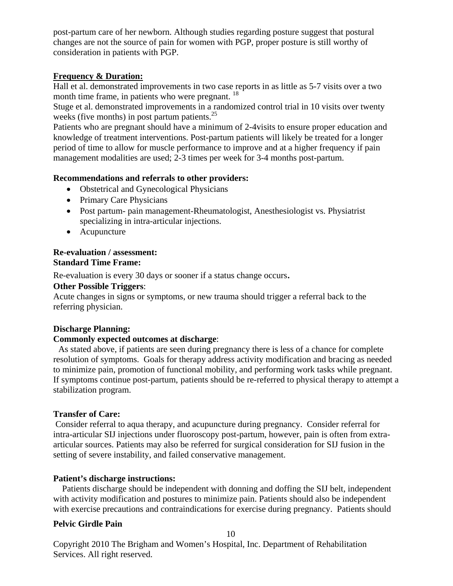post-partum care of her newborn. Although studies regarding posture suggest that postural changes are not the source of pain for women with PGP, proper posture is still worthy of consideration in patients with PGP.

## **Frequency & Duration:**

Hall et al. demonstrated improvements in two case reports in as little as 5-7 visits over a two month time frame, in patients who were pregnant. <sup>18</sup>

Stuge et al. demonstrated improvements in a randomized control trial in 10 visits over twenty weeks (five months) in post partum patients. $^{25}$ 

Patients who are pregnant should have a minimum of 2-4visits to ensure proper education and knowledge of treatment interventions. Post-partum patients will likely be treated for a longer period of time to allow for muscle performance to improve and at a higher frequency if pain management modalities are used; 2-3 times per week for 3-4 months post-partum.

## **Recommendations and referrals to other providers:**

- Obstetrical and Gynecological Physicians
- Primary Care Physicians
- Post partum- pain management-Rheumatologist, Anesthesiologist vs. Physiatrist specializing in intra-articular injections.
- Acupuncture

## **Re-evaluation / assessment: Standard Time Frame:**

Re-evaluation is every 30 days or sooner if a status change occurs.

## **Other Possible Triggers**:

Acute changes in signs or symptoms, or new trauma should trigger a referral back to the referring physician.

# **Discharge Planning:**

## **Commonly expected outcomes at discharge**:

 As stated above, if patients are seen during pregnancy there is less of a chance for complete resolution of symptoms. Goals for therapy address activity modification and bracing as needed to minimize pain, promotion of functional mobility, and performing work tasks while pregnant. If symptoms continue post-partum, patients should be re-referred to physical therapy to attempt a stabilization program.

## **Transfer of Care:**

 Consider referral to aqua therapy, and acupuncture during pregnancy. Consider referral for intra-articular SIJ injections under fluoroscopy post-partum, however, pain is often from extraarticular sources. Patients may also be referred for surgical consideration for SIJ fusion in the setting of severe instability, and failed conservative management.

## **Patient's discharge instructions:**

 Patients discharge should be independent with donning and doffing the SIJ belt, independent with activity modification and postures to minimize pain. Patients should also be independent with exercise precautions and contraindications for exercise during pregnancy. Patients should

## **Pelvic Girdle Pain**

10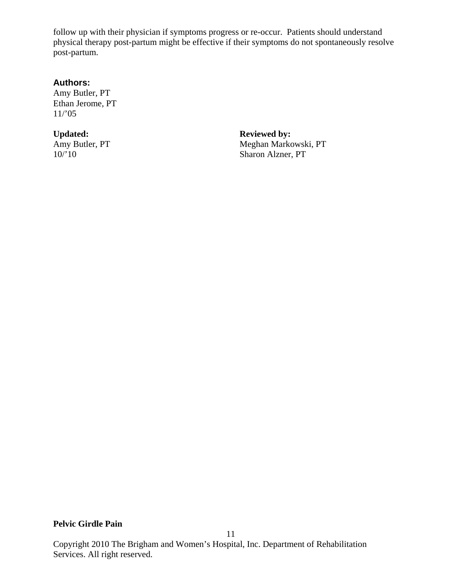follow up with their physician if symptoms progress or re-occur. Patients should understand physical therapy post-partum might be effective if their symptoms do not spontaneously resolve post-partum.

#### **Authors:**

Amy Butler, PT Ethan Jerome, PT 11/'05

Updated: **Reviewed by:**<br>
Amy Butler, PT Meghan Marko

Amy Butler, PT<br>
10/'10<br>
Meghan Markowski, PT<br>
Sharon Alzner, PT Sharon Alzner, PT

## **Pelvic Girdle Pain**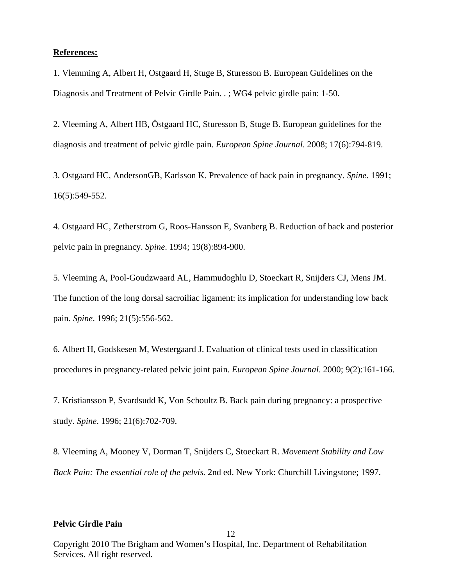#### **References:**

1. Vlemming A, Albert H, Ostgaard H, Stuge B, Sturesson B. European Guidelines on the Diagnosis and Treatment of Pelvic Girdle Pain. . ; WG4 pelvic girdle pain: 1-50.

2. Vleeming A, Albert HB, Östgaard HC, Sturesson B, Stuge B. European guidelines for the diagnosis and treatment of pelvic girdle pain. *European Spine Journal*. 2008; 17(6):794-819.

3. Ostgaard HC, AndersonGB, Karlsson K. Prevalence of back pain in pregnancy. *Spine*. 1991; 16(5):549-552.

4. Ostgaard HC, Zetherstrom G, Roos-Hansson E, Svanberg B. Reduction of back and posterior pelvic pain in pregnancy. *Spine*. 1994; 19(8):894-900.

5. Vleeming A, Pool-Goudzwaard AL, Hammudoghlu D, Stoeckart R, Snijders CJ, Mens JM. The function of the long dorsal sacroiliac ligament: its implication for understanding low back pain. *Spine*. 1996; 21(5):556-562.

6. Albert H, Godskesen M, Westergaard J. Evaluation of clinical tests used in classification procedures in pregnancy-related pelvic joint pain. *European Spine Journal*. 2000; 9(2):161-166.

7. Kristiansson P, Svardsudd K, Von Schoultz B. Back pain during pregnancy: a prospective study. *Spine*. 1996; 21(6):702-709.

8. Vleeming A, Mooney V, Dorman T, Snijders C, Stoeckart R. *Movement Stability and Low Back Pain: The essential role of the pelvis.* 2nd ed. New York: Churchill Livingstone; 1997.

#### **Pelvic Girdle Pain**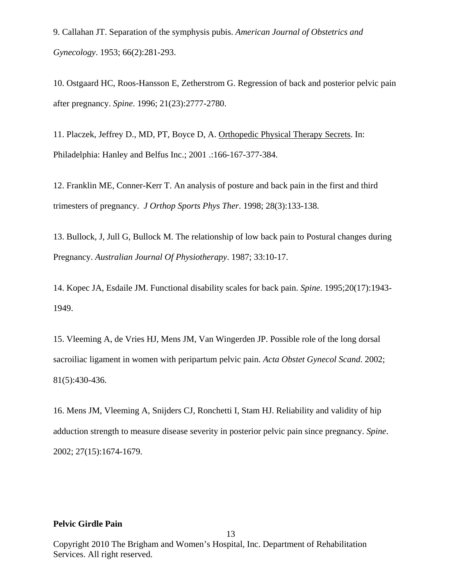9. Callahan JT. Separation of the symphysis pubis. *American Journal of Obstetrics and Gynecology*. 1953; 66(2):281-293.

10. Ostgaard HC, Roos-Hansson E, Zetherstrom G. Regression of back and posterior pelvic pain after pregnancy. *Spine*. 1996; 21(23):2777-2780.

11. Placzek, Jeffrey D., MD, PT, Boyce D, A. Orthopedic Physical Therapy Secrets. In: Philadelphia: Hanley and Belfus Inc.; 2001 .:166-167-377-384.

12. Franklin ME, Conner-Kerr T. An analysis of posture and back pain in the first and third trimesters of pregnancy. *J Orthop Sports Phys Ther*. 1998; 28(3):133-138.

13. Bullock, J, Jull G, Bullock M. The relationship of low back pain to Postural changes during Pregnancy. *Australian Journal Of Physiotherapy*. 1987; 33:10-17.

14. Kopec JA, Esdaile JM. Functional disability scales for back pain. *Spine*. 1995;20(17):1943- 1949.

15. Vleeming A, de Vries HJ, Mens JM, Van Wingerden JP. Possible role of the long dorsal sacroiliac ligament in women with peripartum pelvic pain. *Acta Obstet Gynecol Scand*. 2002; 81(5):430-436.

16. Mens JM, Vleeming A, Snijders CJ, Ronchetti I, Stam HJ. Reliability and validity of hip adduction strength to measure disease severity in posterior pelvic pain since pregnancy. *Spine*. 2002; 27(15):1674-1679.

#### **Pelvic Girdle Pain**

Copyright 2010 The Brigham and Women's Hospital, Inc. Department of Rehabilitation Services. All right reserved.

13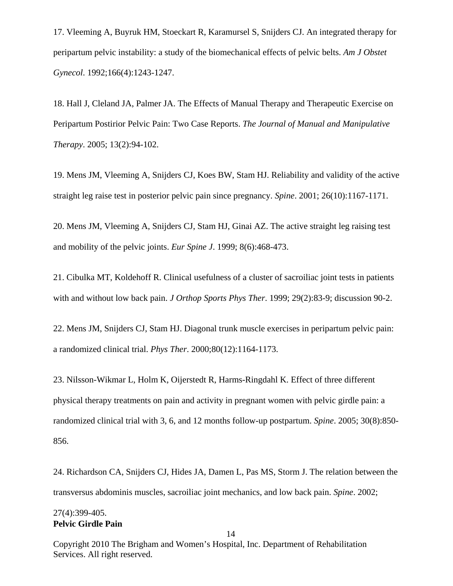17. Vleeming A, Buyruk HM, Stoeckart R, Karamursel S, Snijders CJ. An integrated therapy for peripartum pelvic instability: a study of the biomechanical effects of pelvic belts. *Am J Obstet Gynecol*. 1992;166(4):1243-1247.

18. Hall J, Cleland JA, Palmer JA. The Effects of Manual Therapy and Therapeutic Exercise on Peripartum Postirior Pelvic Pain: Two Case Reports. *The Journal of Manual and Manipulative Therapy*. 2005; 13(2):94-102.

19. Mens JM, Vleeming A, Snijders CJ, Koes BW, Stam HJ. Reliability and validity of the active straight leg raise test in posterior pelvic pain since pregnancy. *Spine*. 2001; 26(10):1167-1171.

20. Mens JM, Vleeming A, Snijders CJ, Stam HJ, Ginai AZ. The active straight leg raising test and mobility of the pelvic joints. *Eur Spine J*. 1999; 8(6):468-473.

21. Cibulka MT, Koldehoff R. Clinical usefulness of a cluster of sacroiliac joint tests in patients with and without low back pain. *J Orthop Sports Phys Ther*. 1999; 29(2):83-9; discussion 90-2.

22. Mens JM, Snijders CJ, Stam HJ. Diagonal trunk muscle exercises in peripartum pelvic pain: a randomized clinical trial. *Phys Ther*. 2000;80(12):1164-1173.

23. Nilsson-Wikmar L, Holm K, Oijerstedt R, Harms-Ringdahl K. Effect of three different physical therapy treatments on pain and activity in pregnant women with pelvic girdle pain: a randomized clinical trial with 3, 6, and 12 months follow-up postpartum. *Spine*. 2005; 30(8):850- 856.

24. Richardson CA, Snijders CJ, Hides JA, Damen L, Pas MS, Storm J. The relation between the transversus abdominis muscles, sacroiliac joint mechanics, and low back pain. *Spine*. 2002;

#### **Pelvic Girdle Pain** 27(4):399-405.